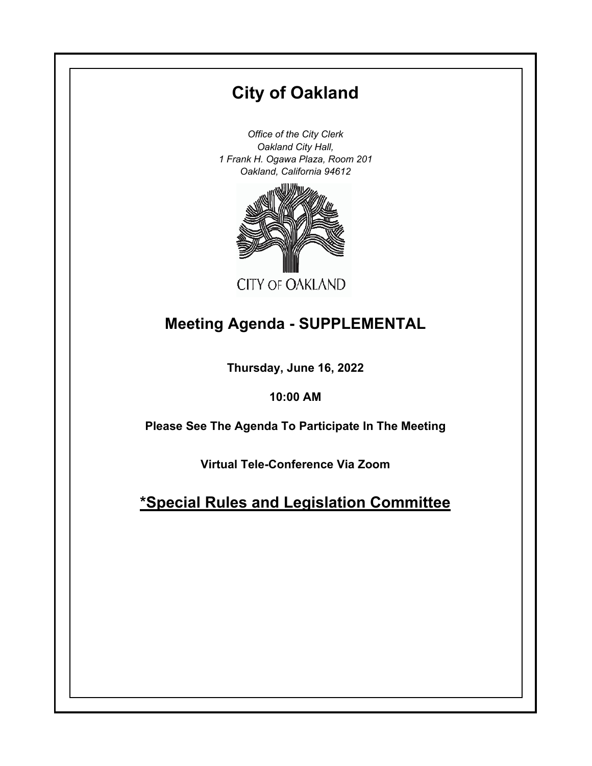# **City of Oakland**

*Office of the City Clerk Oakland City Hall, 1 Frank H. Ogawa Plaza, Room 201 Oakland, California 94612*



## **Meeting Agenda - SUPPLEMENTAL**

**Thursday, June 16, 2022**

**10:00 AM**

**Please See The Agenda To Participate In The Meeting**

**Virtual Tele-Conference Via Zoom**

**\*Special Rules and Legislation Committee**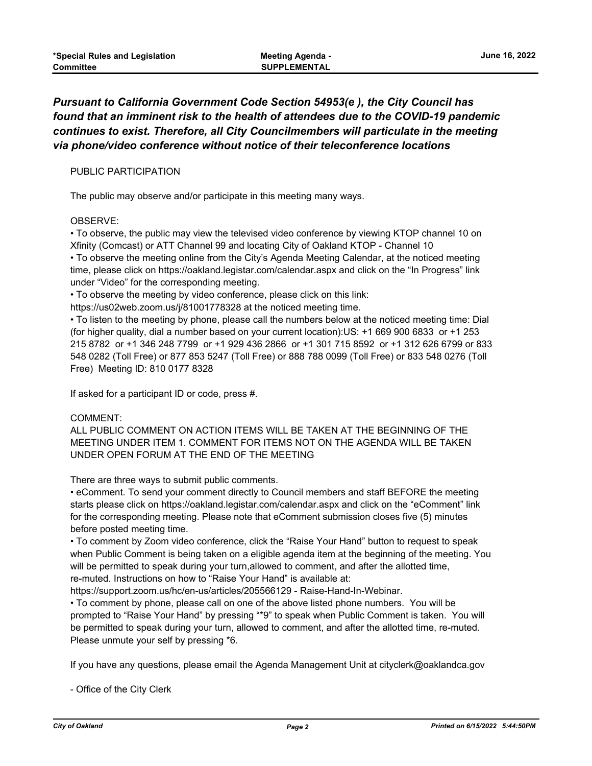## *Pursuant to California Government Code Section 54953(e ), the City Council has found that an imminent risk to the health of attendees due to the COVID-19 pandemic continues to exist. Therefore, all City Councilmembers will particulate in the meeting via phone/video conference without notice of their teleconference locations*

#### PUBLIC PARTICIPATION

The public may observe and/or participate in this meeting many ways.

#### OBSERVE:

• To observe, the public may view the televised video conference by viewing KTOP channel 10 on Xfinity (Comcast) or ATT Channel 99 and locating City of Oakland KTOP - Channel 10 • To observe the meeting online from the City's Agenda Meeting Calendar, at the noticed meeting time, please click on https://oakland.legistar.com/calendar.aspx and click on the "In Progress" link under "Video" for the corresponding meeting.

• To observe the meeting by video conference, please click on this link:

https://us02web.zoom.us/j/81001778328 at the noticed meeting time.

• To listen to the meeting by phone, please call the numbers below at the noticed meeting time: Dial (for higher quality, dial a number based on your current location):US: +1 669 900 6833 or +1 253 215 8782 or +1 346 248 7799 or +1 929 436 2866 or +1 301 715 8592 or +1 312 626 6799 or 833 548 0282 (Toll Free) or 877 853 5247 (Toll Free) or 888 788 0099 (Toll Free) or 833 548 0276 (Toll Free) Meeting ID: 810 0177 8328

If asked for a participant ID or code, press #.

### COMMENT:

ALL PUBLIC COMMENT ON ACTION ITEMS WILL BE TAKEN AT THE BEGINNING OF THE MEETING UNDER ITEM 1. COMMENT FOR ITEMS NOT ON THE AGENDA WILL BE TAKEN UNDER OPEN FORUM AT THE END OF THE MEETING

There are three ways to submit public comments.

• eComment. To send your comment directly to Council members and staff BEFORE the meeting starts please click on https://oakland.legistar.com/calendar.aspx and click on the "eComment" link for the corresponding meeting. Please note that eComment submission closes five (5) minutes before posted meeting time.

• To comment by Zoom video conference, click the "Raise Your Hand" button to request to speak when Public Comment is being taken on a eligible agenda item at the beginning of the meeting. You will be permitted to speak during your turn,allowed to comment, and after the allotted time, re-muted. Instructions on how to "Raise Your Hand" is available at:

https://support.zoom.us/hc/en-us/articles/205566129 - Raise-Hand-In-Webinar.

• To comment by phone, please call on one of the above listed phone numbers. You will be prompted to "Raise Your Hand" by pressing "\*9" to speak when Public Comment is taken. You will be permitted to speak during your turn, allowed to comment, and after the allotted time, re-muted. Please unmute your self by pressing \*6.

If you have any questions, please email the Agenda Management Unit at cityclerk@oaklandca.gov

- Office of the City Clerk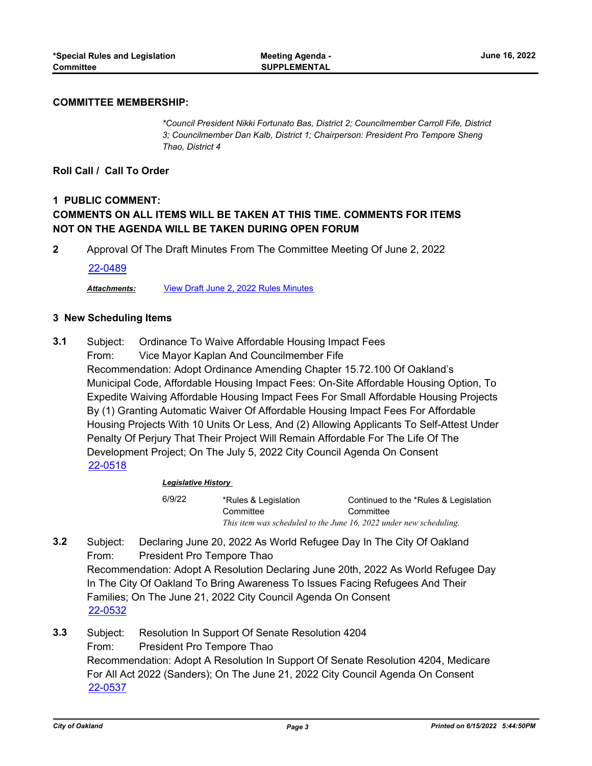#### **COMMITTEE MEMBERSHIP:**

*\*Council President Nikki Fortunato Bas, District 2; Councilmember Carroll Fife, District 3; Councilmember Dan Kalb, District 1; Chairperson: President Pro Tempore Sheng Thao, District 4*

#### **Roll Call / Call To Order**

## **1 PUBLIC COMMENT: COMMENTS ON ALL ITEMS WILL BE TAKEN AT THIS TIME. COMMENTS FOR ITEMS NOT ON THE AGENDA WILL BE TAKEN DURING OPEN FORUM**

**2** Approval Of The Draft Minutes From The Committee Meeting Of June 2, 2022

#### [22-0489](http://oakland.legistar.com/gateway.aspx?m=l&id=/matter.aspx?key=33409)

*Attachments:* [View Draft June 2, 2022 Rules Minutes](http://oakland.legistar.com/gateway.aspx?M=F&ID=32bb21e9-7225-45e7-92c7-85722c7f6ba2.pdf)

#### **3 New Scheduling Items**

Subject: Ordinance To Waive Affordable Housing Impact Fees From: Vice Mayor Kaplan And Councilmember Fife Recommendation: Adopt Ordinance Amending Chapter 15.72.100 Of Oakland's Municipal Code, Affordable Housing Impact Fees: On-Site Affordable Housing Option, To Expedite Waiving Affordable Housing Impact Fees For Small Affordable Housing Projects By (1) Granting Automatic Waiver Of Affordable Housing Impact Fees For Affordable Housing Projects With 10 Units Or Less, And (2) Allowing Applicants To Self-Attest Under Penalty Of Perjury That Their Project Will Remain Affordable For The Life Of The Development Project; On The July 5, 2022 City Council Agenda On Consent **3.1** [22-0518](http://oakland.legistar.com/gateway.aspx?m=l&id=/matter.aspx?key=33438)

#### *Legislative History*

| 6/9/22 | *Rules & Legislation | Continued to the *Rules & Legislation                              |
|--------|----------------------|--------------------------------------------------------------------|
|        | Committee            | Committee                                                          |
|        |                      | This item was scheduled to the June 16, 2022 under new scheduling. |

- Subject: Declaring June 20, 2022 As World Refugee Day In The City Of Oakland From: President Pro Tempore Thao Recommendation: Adopt A Resolution Declaring June 20th, 2022 As World Refugee Day In The City Of Oakland To Bring Awareness To Issues Facing Refugees And Their Families; On The June 21, 2022 City Council Agenda On Consent **3.2** [22-0532](http://oakland.legistar.com/gateway.aspx?m=l&id=/matter.aspx?key=33452)
- Subject: Resolution In Support Of Senate Resolution 4204 From: President Pro Tempore Thao Recommendation: Adopt A Resolution In Support Of Senate Resolution 4204, Medicare For All Act 2022 (Sanders); On The June 21, 2022 City Council Agenda On Consent **3.3** [22-0537](http://oakland.legistar.com/gateway.aspx?m=l&id=/matter.aspx?key=33457)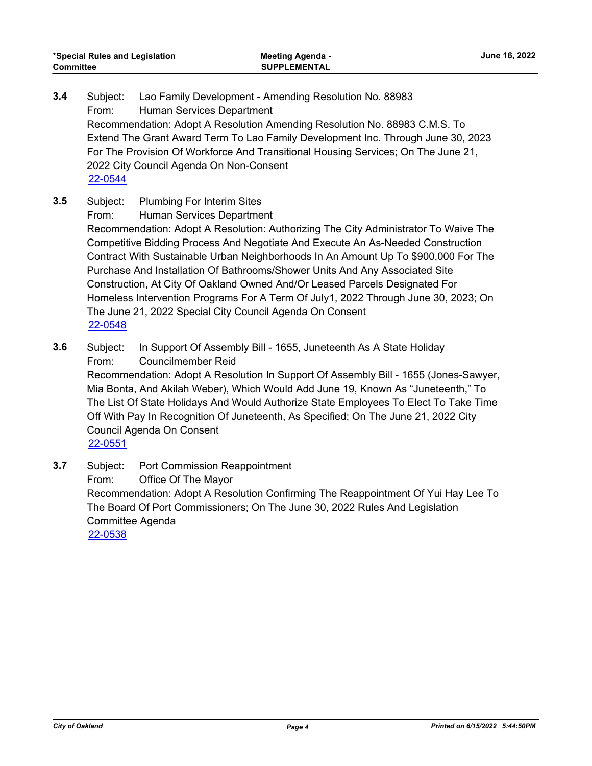- Subject: Lao Family Development Amending Resolution No. 88983 From: Human Services Department Recommendation: Adopt A Resolution Amending Resolution No. 88983 C.M.S. To Extend The Grant Award Term To Lao Family Development Inc. Through June 30, 2023 For The Provision Of Workforce And Transitional Housing Services; On The June 21, 2022 City Council Agenda On Non-Consent **3.4** [22-0544](http://oakland.legistar.com/gateway.aspx?m=l&id=/matter.aspx?key=33464)
- Subject: Plumbing For Interim Sites **3.5**

From: Human Services Department

Recommendation: Adopt A Resolution: Authorizing The City Administrator To Waive The Competitive Bidding Process And Negotiate And Execute An As-Needed Construction Contract With Sustainable Urban Neighborhoods In An Amount Up To \$900,000 For The Purchase And Installation Of Bathrooms/Shower Units And Any Associated Site Construction, At City Of Oakland Owned And/Or Leased Parcels Designated For Homeless Intervention Programs For A Term Of July1, 2022 Through June 30, 2023; On The June 21, 2022 Special City Council Agenda On Consent [22-0548](http://oakland.legistar.com/gateway.aspx?m=l&id=/matter.aspx?key=33468)

- Subject: In Support Of Assembly Bill 1655, Juneteenth As A State Holiday From: Councilmember Reid Recommendation: Adopt A Resolution In Support Of Assembly Bill - 1655 (Jones-Sawyer, Mia Bonta, And Akilah Weber), Which Would Add June 19, Known As "Juneteenth," To The List Of State Holidays And Would Authorize State Employees To Elect To Take Time Off With Pay In Recognition Of Juneteenth, As Specified; On The June 21, 2022 City Council Agenda On Consent **3.6** [22-0551](http://oakland.legistar.com/gateway.aspx?m=l&id=/matter.aspx?key=33471)
- Subject: Port Commission Reappointment From: Office Of The Mayor Recommendation: Adopt A Resolution Confirming The Reappointment Of Yui Hay Lee To The Board Of Port Commissioners; On The June 30, 2022 Rules And Legislation Committee Agenda **3.7** [22-0538](http://oakland.legistar.com/gateway.aspx?m=l&id=/matter.aspx?key=33458)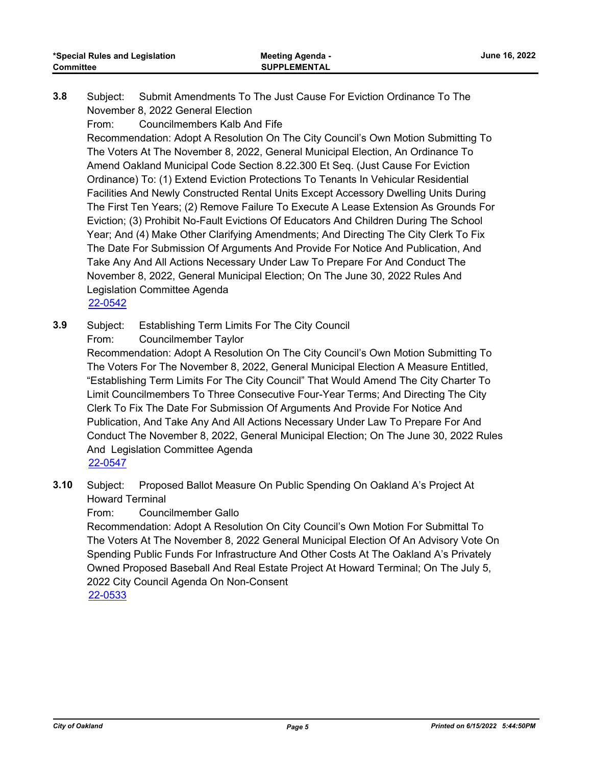- Subject: Submit Amendments To The Just Cause For Eviction Ordinance To The November 8, 2022 General Election **3.8**
	- From: Councilmembers Kalb And Fife

Recommendation: Adopt A Resolution On The City Council's Own Motion Submitting To The Voters At The November 8, 2022, General Municipal Election, An Ordinance To Amend Oakland Municipal Code Section 8.22.300 Et Seq. (Just Cause For Eviction Ordinance) To: (1) Extend Eviction Protections To Tenants In Vehicular Residential Facilities And Newly Constructed Rental Units Except Accessory Dwelling Units During The First Ten Years; (2) Remove Failure To Execute A Lease Extension As Grounds For Eviction; (3) Prohibit No-Fault Evictions Of Educators And Children During The School Year; And (4) Make Other Clarifying Amendments; And Directing The City Clerk To Fix The Date For Submission Of Arguments And Provide For Notice And Publication, And Take Any And All Actions Necessary Under Law To Prepare For And Conduct The November 8, 2022, General Municipal Election; On The June 30, 2022 Rules And Legislation Committee Agenda [22-0542](http://oakland.legistar.com/gateway.aspx?m=l&id=/matter.aspx?key=33462)

Subject: Establishing Term Limits For The City Council From: Councilmember Taylor **3.9**

> Recommendation: Adopt A Resolution On The City Council's Own Motion Submitting To The Voters For The November 8, 2022, General Municipal Election A Measure Entitled, "Establishing Term Limits For The City Council" That Would Amend The City Charter To Limit Councilmembers To Three Consecutive Four-Year Terms; And Directing The City Clerk To Fix The Date For Submission Of Arguments And Provide For Notice And Publication, And Take Any And All Actions Necessary Under Law To Prepare For And Conduct The November 8, 2022, General Municipal Election; On The June 30, 2022 Rules And Legislation Committee Agenda [22-0547](http://oakland.legistar.com/gateway.aspx?m=l&id=/matter.aspx?key=33467)

Subject: Proposed Ballot Measure On Public Spending On Oakland A's Project At Howard Terminal **3.10**

From: Councilmember Gallo

Recommendation: Adopt A Resolution On City Council's Own Motion For Submittal To The Voters At The November 8, 2022 General Municipal Election Of An Advisory Vote On Spending Public Funds For Infrastructure And Other Costs At The Oakland A's Privately Owned Proposed Baseball And Real Estate Project At Howard Terminal; On The July 5, 2022 City Council Agenda On Non-Consent [22-0533](http://oakland.legistar.com/gateway.aspx?m=l&id=/matter.aspx?key=33453)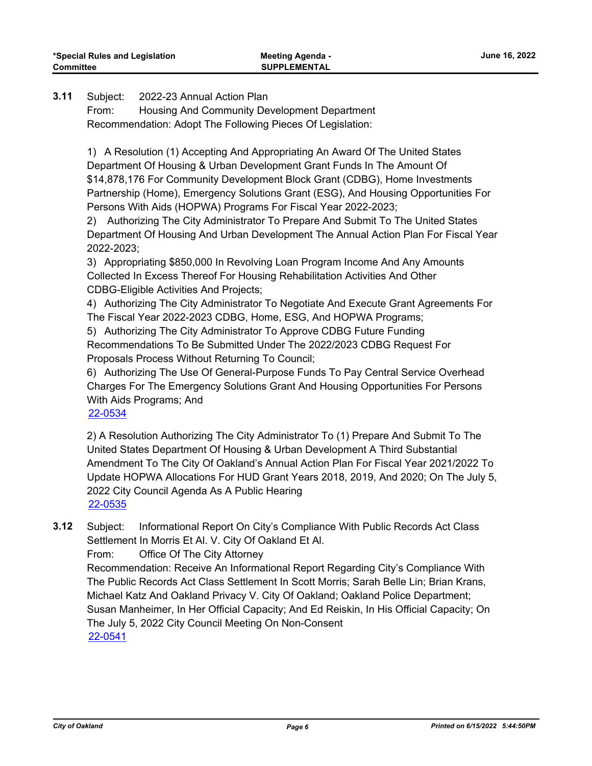**SUPPLEMENTAL**

Subject: 2022-23 Annual Action Plan **3.11**

> From: Housing And Community Development Department Recommendation: Adopt The Following Pieces Of Legislation:

1) A Resolution (1) Accepting And Appropriating An Award Of The United States Department Of Housing & Urban Development Grant Funds In The Amount Of \$14,878,176 For Community Development Block Grant (CDBG), Home Investments Partnership (Home), Emergency Solutions Grant (ESG), And Housing Opportunities For Persons With Aids (HOPWA) Programs For Fiscal Year 2022-2023;

2) Authorizing The City Administrator To Prepare And Submit To The United States Department Of Housing And Urban Development The Annual Action Plan For Fiscal Year 2022-2023;

3) Appropriating \$850,000 In Revolving Loan Program Income And Any Amounts Collected In Excess Thereof For Housing Rehabilitation Activities And Other CDBG-Eligible Activities And Projects;

4) Authorizing The City Administrator To Negotiate And Execute Grant Agreements For The Fiscal Year 2022-2023 CDBG, Home, ESG, And HOPWA Programs;

5) Authorizing The City Administrator To Approve CDBG Future Funding Recommendations To Be Submitted Under The 2022/2023 CDBG Request For Proposals Process Without Returning To Council;

6) Authorizing The Use Of General-Purpose Funds To Pay Central Service Overhead Charges For The Emergency Solutions Grant And Housing Opportunities For Persons With Aids Programs; And

[22-0534](http://oakland.legistar.com/gateway.aspx?m=l&id=/matter.aspx?key=33454)

2) A Resolution Authorizing The City Administrator To (1) Prepare And Submit To The United States Department Of Housing & Urban Development A Third Substantial Amendment To The City Of Oakland's Annual Action Plan For Fiscal Year 2021/2022 To Update HOPWA Allocations For HUD Grant Years 2018, 2019, And 2020; On The July 5, 2022 City Council Agenda As A Public Hearing [22-0535](http://oakland.legistar.com/gateway.aspx?m=l&id=/matter.aspx?key=33455)

Subject: Informational Report On City's Compliance With Public Records Act Class Settlement In Morris Et Al. V. City Of Oakland Et Al. **3.12**

From: Office Of The City Attorney

Recommendation: Receive An Informational Report Regarding City's Compliance With The Public Records Act Class Settlement In Scott Morris; Sarah Belle Lin; Brian Krans, Michael Katz And Oakland Privacy V. City Of Oakland; Oakland Police Department; Susan Manheimer, In Her Official Capacity; And Ed Reiskin, In His Official Capacity; On The July 5, 2022 City Council Meeting On Non-Consent [22-0541](http://oakland.legistar.com/gateway.aspx?m=l&id=/matter.aspx?key=33461)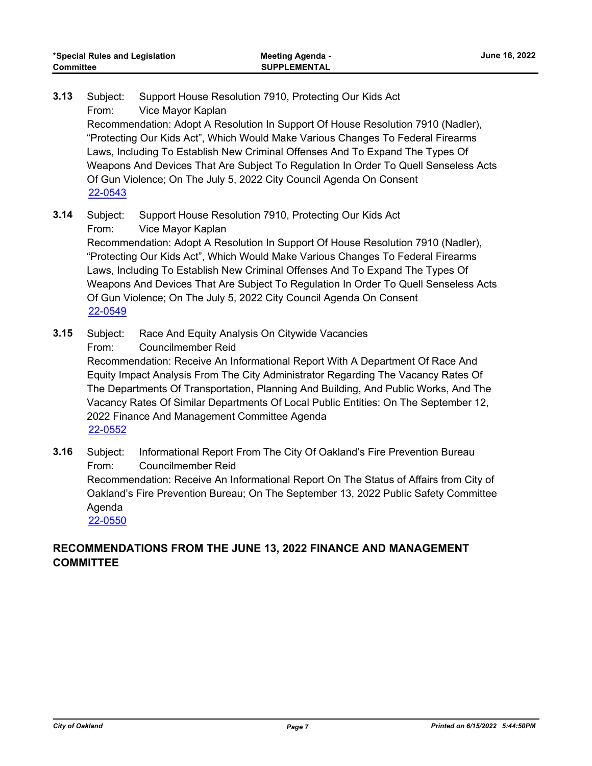Subject: Support House Resolution 7910, Protecting Our Kids Act From: Vice Mayor Kaplan **3.13**

Recommendation: Adopt A Resolution In Support Of House Resolution 7910 (Nadler), "Protecting Our Kids Act", Which Would Make Various Changes To Federal Firearms Laws, Including To Establish New Criminal Offenses And To Expand The Types Of Weapons And Devices That Are Subject To Regulation In Order To Quell Senseless Acts Of Gun Violence; On The July 5, 2022 City Council Agenda On Consent [22-0543](http://oakland.legistar.com/gateway.aspx?m=l&id=/matter.aspx?key=33463)

Subject: Support House Resolution 7910, Protecting Our Kids Act From: Vice Mayor Kaplan **3.14**

Recommendation: Adopt A Resolution In Support Of House Resolution 7910 (Nadler), "Protecting Our Kids Act", Which Would Make Various Changes To Federal Firearms Laws, Including To Establish New Criminal Offenses And To Expand The Types Of Weapons And Devices That Are Subject To Regulation In Order To Quell Senseless Acts Of Gun Violence; On The July 5, 2022 City Council Agenda On Consent [22-0549](http://oakland.legistar.com/gateway.aspx?m=l&id=/matter.aspx?key=33469)

- Subject: Race And Equity Analysis On Citywide Vacancies From: Councilmember Reid Recommendation: Receive An Informational Report With A Department Of Race And Equity Impact Analysis From The City Administrator Regarding The Vacancy Rates Of The Departments Of Transportation, Planning And Building, And Public Works, And The Vacancy Rates Of Similar Departments Of Local Public Entities: On The September 12, 2022 Finance And Management Committee Agenda **3.15** [22-0552](http://oakland.legistar.com/gateway.aspx?m=l&id=/matter.aspx?key=33472)
- Subject: Informational Report From The City Of Oakland's Fire Prevention Bureau From: Councilmember Reid Recommendation: Receive An Informational Report On The Status of Affairs from City of Oakland's Fire Prevention Bureau; On The September 13, 2022 Public Safety Committee Agenda **3.16** [22-0550](http://oakland.legistar.com/gateway.aspx?m=l&id=/matter.aspx?key=33470)

## **RECOMMENDATIONS FROM THE JUNE 13, 2022 FINANCE AND MANAGEMENT COMMITTEE**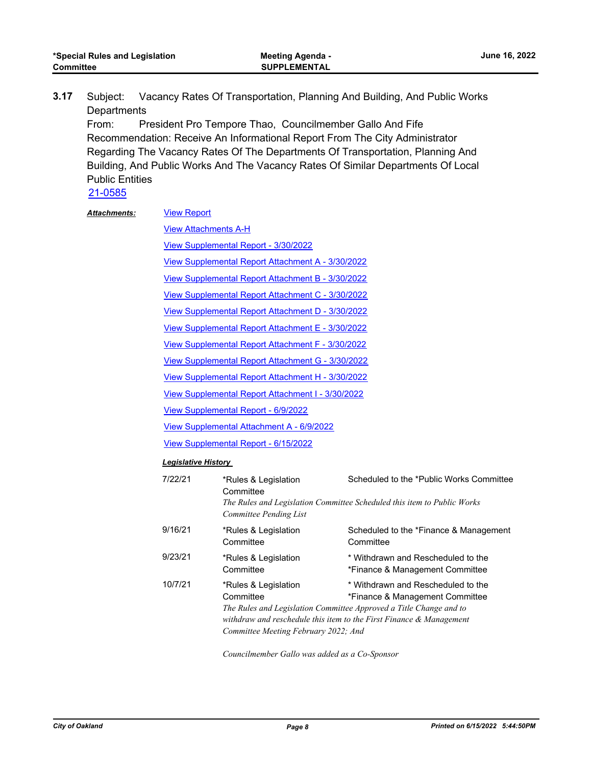Subject: Vacancy Rates Of Transportation, Planning And Building, And Public Works **Departments 3.17**

From: President Pro Tempore Thao, Councilmember Gallo And Fife Recommendation: Receive An Informational Report From The City Administrator Regarding The Vacancy Rates Of The Departments Of Transportation, Planning And Building, And Public Works And The Vacancy Rates Of Similar Departments Of Local Public Entities

[21-0585](http://oakland.legistar.com/gateway.aspx?m=l&id=/matter.aspx?key=32508)

| <b>Attachments:</b> | <b>View Report</b>                        |                                                                           |                                                                                                                                                                                                                       |  |
|---------------------|-------------------------------------------|---------------------------------------------------------------------------|-----------------------------------------------------------------------------------------------------------------------------------------------------------------------------------------------------------------------|--|
|                     | <b>View Attachments A-H</b>               |                                                                           |                                                                                                                                                                                                                       |  |
|                     |                                           | View Supplemental Report - 3/30/2022                                      |                                                                                                                                                                                                                       |  |
|                     |                                           | View Supplemental Report Attachment A - 3/30/2022                         |                                                                                                                                                                                                                       |  |
|                     |                                           | View Supplemental Report Attachment B - 3/30/2022                         |                                                                                                                                                                                                                       |  |
|                     |                                           | View Supplemental Report Attachment C - 3/30/2022                         |                                                                                                                                                                                                                       |  |
|                     |                                           | View Supplemental Report Attachment D - 3/30/2022                         |                                                                                                                                                                                                                       |  |
|                     |                                           | View Supplemental Report Attachment E - 3/30/2022                         |                                                                                                                                                                                                                       |  |
|                     |                                           | View Supplemental Report Attachment F - 3/30/2022                         |                                                                                                                                                                                                                       |  |
|                     |                                           | View Supplemental Report Attachment G - 3/30/2022                         |                                                                                                                                                                                                                       |  |
|                     |                                           | View Supplemental Report Attachment H - 3/30/2022                         |                                                                                                                                                                                                                       |  |
|                     |                                           | View Supplemental Report Attachment I - 3/30/2022                         |                                                                                                                                                                                                                       |  |
|                     | View Supplemental Report - 6/9/2022       |                                                                           |                                                                                                                                                                                                                       |  |
|                     | View Supplemental Attachment A - 6/9/2022 |                                                                           |                                                                                                                                                                                                                       |  |
|                     | View Supplemental Report - 6/15/2022      |                                                                           |                                                                                                                                                                                                                       |  |
|                     | <b>Legislative History</b>                |                                                                           |                                                                                                                                                                                                                       |  |
|                     | 7/22/21                                   | *Rules & Legislation<br>Committee<br>Committee Pending List               | Scheduled to the *Public Works Committee<br>The Rules and Legislation Committee Scheduled this item to Public Works                                                                                                   |  |
|                     | 9/16/21                                   | *Rules & Legislation<br>Committee                                         | Scheduled to the *Finance & Management<br>Committee                                                                                                                                                                   |  |
|                     | 9/23/21                                   | *Rules & Legislation<br>Committee                                         | * Withdrawn and Rescheduled to the<br>*Finance & Management Committee                                                                                                                                                 |  |
|                     | 10/7/21                                   | *Rules & Legislation<br>Committee<br>Committee Meeting February 2022; And | * Withdrawn and Rescheduled to the<br>*Finance & Management Committee<br>The Rules and Legislation Committee Approved a Title Change and to<br>withdraw and reschedule this item to the First Finance $\&$ Management |  |

*Councilmember Gallo was added as a Co-Sponsor*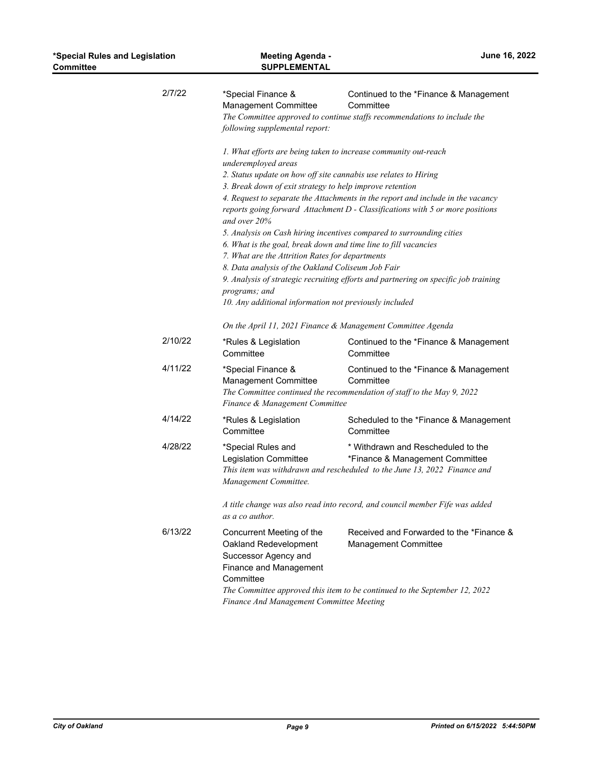|                                                                                                                                                               | <b>Meeting Agenda -</b><br><b>SUPPLEMENTAL</b>                                                                                                                                                                                      | *Special Rules and Legislation<br><b>Committee</b> |  |
|---------------------------------------------------------------------------------------------------------------------------------------------------------------|-------------------------------------------------------------------------------------------------------------------------------------------------------------------------------------------------------------------------------------|----------------------------------------------------|--|
| Continued to the *Finance & Management<br>Committee<br>The Committee approved to continue staffs recommendations to include the                               | *Special Finance &<br>Management Committee<br>following supplemental report:                                                                                                                                                        | 2/7/22                                             |  |
|                                                                                                                                                               | 1. What efforts are being taken to increase community out-reach<br>underemployed areas                                                                                                                                              |                                                    |  |
|                                                                                                                                                               |                                                                                                                                                                                                                                     |                                                    |  |
|                                                                                                                                                               |                                                                                                                                                                                                                                     |                                                    |  |
| reports going forward Attachment D - Classifications with 5 or more positions                                                                                 | and over 20%                                                                                                                                                                                                                        |                                                    |  |
| 5. Analysis on Cash hiring incentives compared to surrounding cities                                                                                          |                                                                                                                                                                                                                                     |                                                    |  |
|                                                                                                                                                               | 6. What is the goal, break down and time line to fill vacancies                                                                                                                                                                     |                                                    |  |
|                                                                                                                                                               |                                                                                                                                                                                                                                     |                                                    |  |
| 9. Analysis of strategic recruiting efforts and partnering on specific job training                                                                           | programs; and<br>10. Any additional information not previously included                                                                                                                                                             |                                                    |  |
| On the April 11, 2021 Finance & Management Committee Agenda                                                                                                   |                                                                                                                                                                                                                                     |                                                    |  |
| Continued to the *Finance & Management<br>Committee                                                                                                           | *Rules & Legislation<br>Committee                                                                                                                                                                                                   | 2/10/22                                            |  |
| Continued to the *Finance & Management<br>Committee<br>The Committee continued the recommendation of staff to the May 9, 2022                                 | *Special Finance &<br>Management Committee<br>Finance & Management Committee                                                                                                                                                        | 4/11/22                                            |  |
| Scheduled to the *Finance & Management<br>Committee                                                                                                           | *Rules & Legislation<br>Committee                                                                                                                                                                                                   | 4/14/22                                            |  |
| * Withdrawn and Rescheduled to the<br>*Finance & Management Committee<br>This item was withdrawn and rescheduled to the June 13, 2022 Finance and             | *Special Rules and<br>Legislation Committee<br>Management Committee.                                                                                                                                                                | 4/28/22                                            |  |
| A title change was also read into record, and council member Fife was added                                                                                   | as a co author.                                                                                                                                                                                                                     |                                                    |  |
| Received and Forwarded to the *Finance &<br><b>Management Committee</b>                                                                                       | Concurrent Meeting of the<br>Oakland Redevelopment<br>Successor Agency and<br>Finance and Management<br>Committee                                                                                                                   | 6/13/22                                            |  |
| 4. Request to separate the Attachments in the report and include in the vacancy<br>The Committee approved this item to be continued to the September 12, 2022 | 2. Status update on how off site cannabis use relates to Hiring<br>3. Break down of exit strategy to help improve retention<br>7. What are the Attrition Rates for departments<br>8. Data analysis of the Oakland Coliseum Job Fair |                                                    |  |

*Finance And Management Committee Meeting*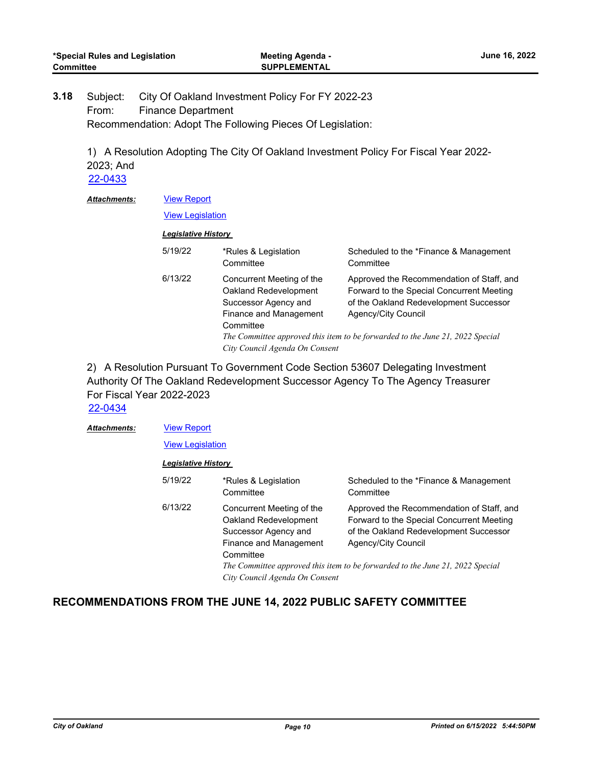Subject: City Of Oakland Investment Policy For FY 2022-23 From: Finance Department Recommendation: Adopt The Following Pieces Of Legislation: **3.18**

> 1) A Resolution Adopting The City Of Oakland Investment Policy For Fiscal Year 2022- 2023; And

[22-0433](http://oakland.legistar.com/gateway.aspx?m=l&id=/matter.aspx?key=33354)

#### [View Report](http://oakland.legistar.com/gateway.aspx?M=F&ID=3bed2c84-7afe-48ba-9bed-5b52465da0ac.pdf) *Attachments:*

[View Legislation](http://oakland.legistar.com/gateway.aspx?M=F&ID=ffd8061c-12b3-465e-b1b8-0f3bd157064b.PDF)

#### *Legislative History*

| 5/19/22 | *Rules & Legislation<br>Committee                                                                                                                   | Scheduled to the *Finance & Management<br>Committee                                                                                                                                                                                      |
|---------|-----------------------------------------------------------------------------------------------------------------------------------------------------|------------------------------------------------------------------------------------------------------------------------------------------------------------------------------------------------------------------------------------------|
| 6/13/22 | Concurrent Meeting of the<br>Oakland Redevelopment<br>Successor Agency and<br>Finance and Management<br>Committee<br>City Council Agenda On Consent | Approved the Recommendation of Staff, and<br>Forward to the Special Concurrent Meeting<br>of the Oakland Redevelopment Successor<br>Agency/City Council<br>The Committee approved this item to be forwarded to the June 21, 2022 Special |

2) A Resolution Pursuant To Government Code Section 53607 Delegating Investment Authority Of The Oakland Redevelopment Successor Agency To The Agency Treasurer For Fiscal Year 2022-2023

[22-0434](http://oakland.legistar.com/gateway.aspx?m=l&id=/matter.aspx?key=33355)

[View Report](http://oakland.legistar.com/gateway.aspx?M=F&ID=781325d0-cc5e-4341-bd2f-4105e6c05af5.pdf) [View Legislation](http://oakland.legistar.com/gateway.aspx?M=F&ID=d07972e6-f2e3-4ec3-9b6e-6bf7c79c4605.PDF) *Attachments: Legislative History*  5/19/22 \*Rules & Legislation **Committee** Scheduled to the \*Finance & Management **Committee** 6/13/22 Concurrent Meeting of the Oakland Redevelopment Successor Agency and Finance and Management **Committee** Approved the Recommendation of Staff, and Forward to the Special Concurrent Meeting of the Oakland Redevelopment Successor Agency/City Council *The Committee approved this item to be forwarded to the June 21, 2022 Special City Council Agenda On Consent*

## **RECOMMENDATIONS FROM THE JUNE 14, 2022 PUBLIC SAFETY COMMITTEE**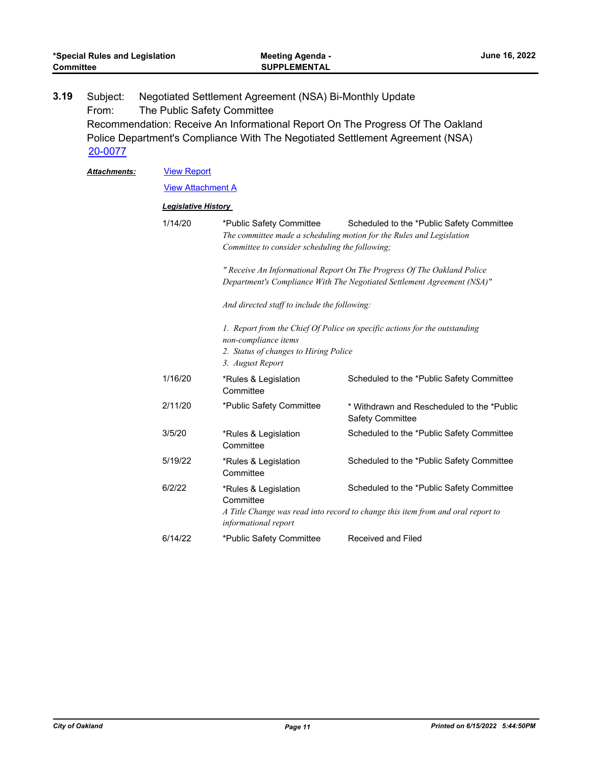| *Special Rules and Legislation<br><b>Committee</b> |                              | Meeting Agenda -<br><b>SUPPLEMENTAL</b> | <b>June 16, 2022</b>                                                              |                                                                                                                                                                 |
|----------------------------------------------------|------------------------------|-----------------------------------------|-----------------------------------------------------------------------------------|-----------------------------------------------------------------------------------------------------------------------------------------------------------------|
| 3.19                                               | Subject:<br>From:<br>20-0077 | The Public Safety Committee             | Negotiated Settlement Agreement (NSA) Bi-Monthly Update                           | Recommendation: Receive An Informational Report On The Progress Of The Oakland<br>Police Department's Compliance With The Negotiated Settlement Agreement (NSA) |
|                                                    | Attachments:                 | <b>View Report</b>                      |                                                                                   |                                                                                                                                                                 |
|                                                    |                              | <u>View Attachment A</u>                |                                                                                   |                                                                                                                                                                 |
|                                                    |                              | <b>Legislative History</b>              |                                                                                   |                                                                                                                                                                 |
|                                                    |                              | 1/14/20                                 | *Public Safety Committee<br>Committee to consider scheduling the following;       | Scheduled to the *Public Safety Committee<br>The committee made a scheduling motion for the Rules and Legislation                                               |
|                                                    |                              |                                         |                                                                                   | " Receive An Informational Report On The Progress Of The Oakland Police<br>Department's Compliance With The Negotiated Settlement Agreement (NSA)"              |
|                                                    |                              |                                         | And directed staff to include the following:                                      |                                                                                                                                                                 |
|                                                    |                              |                                         | non-compliance items<br>2. Status of changes to Hiring Police<br>3. August Report | 1. Report from the Chief Of Police on specific actions for the outstanding                                                                                      |
|                                                    |                              | 1/16/20                                 | *Rules & Legislation<br>Committee                                                 | Scheduled to the *Public Safety Committee                                                                                                                       |
|                                                    |                              | 2/11/20                                 | *Public Safety Committee                                                          | * Withdrawn and Rescheduled to the *Public<br><b>Safety Committee</b>                                                                                           |
|                                                    |                              | 3/5/20                                  | *Rules & Legislation<br>Committee                                                 | Scheduled to the *Public Safety Committee                                                                                                                       |
|                                                    |                              | 5/19/22                                 | *Rules & Legislation<br>Committee                                                 | Scheduled to the *Public Safety Committee                                                                                                                       |
|                                                    |                              | 6/2/22                                  | *Rules & Legislation<br>Committee<br>informational report                         | Scheduled to the *Public Safety Committee<br>A Title Change was read into record to change this item from and oral report to                                    |
|                                                    |                              | 6/14/22                                 | *Public Safety Committee                                                          | <b>Received and Filed</b>                                                                                                                                       |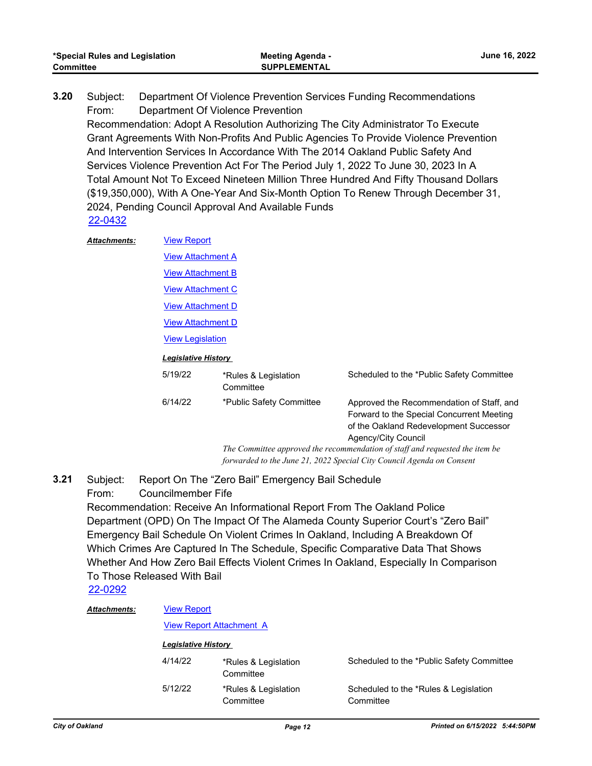| *Special Rules and Legislation | <b>Meeting Agenda -</b> | June 16, 2022 |
|--------------------------------|-------------------------|---------------|
| Committee                      | <b>SUPPLEMENTAL</b>     |               |

Subject: Department Of Violence Prevention Services Funding Recommendations From: Department Of Violence Prevention Recommendation: Adopt A Resolution Authorizing The City Administrator To Execute Grant Agreements With Non-Profits And Public Agencies To Provide Violence Prevention And Intervention Services In Accordance With The 2014 Oakland Public Safety And Services Violence Prevention Act For The Period July 1, 2022 To June 30, 2023 In A Total Amount Not To Exceed Nineteen Million Three Hundred And Fifty Thousand Dollars (\$19,350,000), With A One-Year And Six-Month Option To Renew Through December 31, 2024, Pending Council Approval And Available Funds **3.20** [22-0432](http://oakland.legistar.com/gateway.aspx?m=l&id=/matter.aspx?key=33353)

| <b>Attachments:</b> | <b>View Report</b>         |                                   |                                                                                                                                                         |  |  |  |
|---------------------|----------------------------|-----------------------------------|---------------------------------------------------------------------------------------------------------------------------------------------------------|--|--|--|
|                     |                            | <b>View Attachment A</b>          |                                                                                                                                                         |  |  |  |
|                     |                            | <b>View Attachment B</b>          |                                                                                                                                                         |  |  |  |
|                     | <b>View Attachment C</b>   |                                   |                                                                                                                                                         |  |  |  |
|                     | <b>View Attachment D</b>   |                                   |                                                                                                                                                         |  |  |  |
|                     | <b>View Attachment D</b>   |                                   |                                                                                                                                                         |  |  |  |
|                     | <b>View Legislation</b>    |                                   |                                                                                                                                                         |  |  |  |
|                     | <b>Legislative History</b> |                                   |                                                                                                                                                         |  |  |  |
|                     | 5/19/22                    | *Rules & Legislation<br>Committee | Scheduled to the *Public Safety Committee                                                                                                               |  |  |  |
|                     | 6/14/22                    | *Public Safety Committee          | Approved the Recommendation of Staff, and<br>Forward to the Special Concurrent Meeting<br>of the Oakland Redevelopment Successor<br>Agency/City Council |  |  |  |
|                     |                            |                                   | The Committee approved the recommendation of staff and requested the item be                                                                            |  |  |  |
|                     |                            |                                   | forwarded to the June 21, 2022 Special City Council Agenda on Consent                                                                                   |  |  |  |

Subject: Report On The "Zero Bail" Emergency Bail Schedule From: Councilmember Fife **3.21**

Recommendation: Receive An Informational Report From The Oakland Police Department (OPD) On The Impact Of The Alameda County Superior Court's "Zero Bail" Emergency Bail Schedule On Violent Crimes In Oakland, Including A Breakdown Of Which Crimes Are Captured In The Schedule, Specific Comparative Data That Shows Whether And How Zero Bail Effects Violent Crimes In Oakland, Especially In Comparison To Those Released With Bail

[22-0292](http://oakland.legistar.com/gateway.aspx?m=l&id=/matter.aspx?key=33213)

| <b>Attachments:</b>        | <b>View Report</b>              |                                   |                                                    |  |
|----------------------------|---------------------------------|-----------------------------------|----------------------------------------------------|--|
|                            | <b>View Report Attachment A</b> |                                   |                                                    |  |
| <b>Legislative History</b> |                                 |                                   |                                                    |  |
|                            | 4/14/22                         | *Rules & Legislation<br>Committee | Scheduled to the *Public Safety Committee          |  |
|                            | 5/12/22                         | *Rules & Legislation<br>Committee | Scheduled to the *Rules & Legislation<br>Committee |  |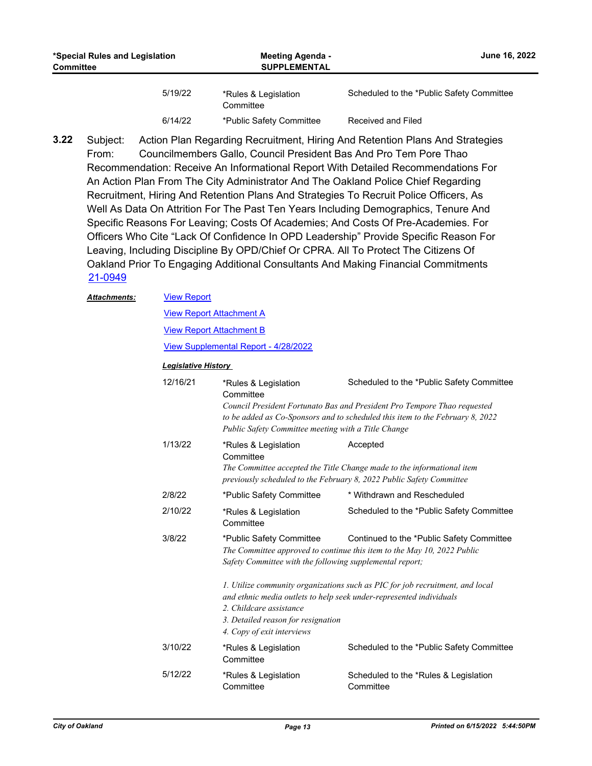| *Special Rules and Legislation<br><b>Committee</b> |         | <b>Meeting Agenda -</b><br><b>SUPPLEMENTAL</b> | June 16, 2022                             |
|----------------------------------------------------|---------|------------------------------------------------|-------------------------------------------|
|                                                    | 5/19/22 | *Rules & Legislation<br>Committee              | Scheduled to the *Public Safety Committee |
|                                                    | 6/14/22 | *Public Safety Committee                       | Received and Filed                        |

Subject: Action Plan Regarding Recruitment, Hiring And Retention Plans And Strategies From: Councilmembers Gallo, Council President Bas And Pro Tem Pore Thao Recommendation: Receive An Informational Report With Detailed Recommendations For An Action Plan From The City Administrator And The Oakland Police Chief Regarding Recruitment, Hiring And Retention Plans And Strategies To Recruit Police Officers, As Well As Data On Attrition For The Past Ten Years Including Demographics, Tenure And Specific Reasons For Leaving; Costs Of Academies; And Costs Of Pre-Academies. For Officers Who Cite "Lack Of Confidence In OPD Leadership" Provide Specific Reason For Leaving, Including Discipline By OPD/Chief Or CPRA. All To Protect The Citizens Of Oakland Prior To Engaging Additional Consultants And Making Financial Commitments **3.22** [21-0949](http://oakland.legistar.com/gateway.aspx?m=l&id=/matter.aspx?key=32873)

| <b>Attachments:</b> |          | <b>View Report</b>                                                                          |                                                                                                                                                                                                        |  |  |  |
|---------------------|----------|---------------------------------------------------------------------------------------------|--------------------------------------------------------------------------------------------------------------------------------------------------------------------------------------------------------|--|--|--|
|                     |          | <b>View Report Attachment A</b>                                                             |                                                                                                                                                                                                        |  |  |  |
|                     |          | <b>View Report Attachment B</b>                                                             |                                                                                                                                                                                                        |  |  |  |
|                     |          | View Supplemental Report - 4/28/2022                                                        |                                                                                                                                                                                                        |  |  |  |
|                     |          | <b>Legislative History</b>                                                                  |                                                                                                                                                                                                        |  |  |  |
|                     | 12/16/21 | *Rules & Legislation<br>Committee<br>Public Safety Committee meeting with a Title Change    | Scheduled to the *Public Safety Committee<br>Council President Fortunato Bas and President Pro Tempore Thao requested<br>to be added as Co-Sponsors and to scheduled this item to the February 8, 2022 |  |  |  |
|                     | 1/13/22  | *Rules & Legislation<br>Committee                                                           | Accepted<br>The Committee accepted the Title Change made to the informational item<br>previously scheduled to the February 8, 2022 Public Safety Committee                                             |  |  |  |
|                     | 2/8/22   | *Public Safety Committee                                                                    | * Withdrawn and Rescheduled                                                                                                                                                                            |  |  |  |
|                     | 2/10/22  | *Rules & Legislation<br>Committee                                                           | Scheduled to the *Public Safety Committee                                                                                                                                                              |  |  |  |
|                     | 3/8/22   | *Public Safety Committee<br>Safety Committee with the following supplemental report;        | Continued to the *Public Safety Committee<br>The Committee approved to continue this item to the May 10, 2022 Public                                                                                   |  |  |  |
|                     |          | 2. Childcare assistance<br>3. Detailed reason for resignation<br>4. Copy of exit interviews | 1. Utilize community organizations such as PIC for job recruitment, and local<br>and ethnic media outlets to help seek under-represented individuals                                                   |  |  |  |
|                     | 3/10/22  | *Rules & Legislation<br>Committee                                                           | Scheduled to the *Public Safety Committee                                                                                                                                                              |  |  |  |
|                     | 5/12/22  | *Rules & Legislation                                                                        | Scheduled to the *Rules & Legislation                                                                                                                                                                  |  |  |  |

**Committee** 

**Committee**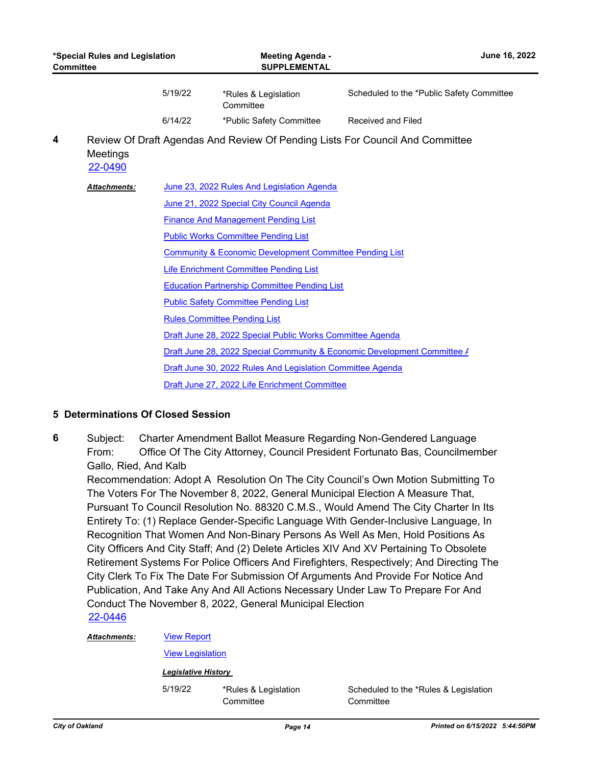| *Special Rules and Legislation<br><b>Committee</b> |                     |         | <b>Meeting Agenda -</b><br><b>SUPPLEMENTAL</b>                           | June 16, 2022                                                                 |  |
|----------------------------------------------------|---------------------|---------|--------------------------------------------------------------------------|-------------------------------------------------------------------------------|--|
|                                                    |                     | 5/19/22 | *Rules & Legislation<br>Committee                                        | Scheduled to the *Public Safety Committee                                     |  |
|                                                    |                     | 6/14/22 | *Public Safety Committee                                                 | <b>Received and Filed</b>                                                     |  |
| 4                                                  | Meetings<br>22-0490 |         |                                                                          | Review Of Draft Agendas And Review Of Pending Lists For Council And Committee |  |
|                                                    | Attachments:        |         | June 23, 2022 Rules And Legislation Agenda                               |                                                                               |  |
|                                                    |                     |         | June 21, 2022 Special City Council Agenda                                |                                                                               |  |
|                                                    |                     |         | <b>Finance And Management Pending List</b>                               |                                                                               |  |
|                                                    |                     |         | <b>Public Works Committee Pending List</b>                               |                                                                               |  |
|                                                    |                     |         | <b>Community &amp; Economic Development Committee Pending List</b>       |                                                                               |  |
|                                                    |                     |         | <b>Life Enrichment Committee Pending List</b>                            |                                                                               |  |
|                                                    |                     |         | <b>Education Partnership Committee Pending List</b>                      |                                                                               |  |
|                                                    |                     |         | <b>Public Safety Committee Pending List</b>                              |                                                                               |  |
|                                                    |                     |         | <b>Rules Committee Pending List</b>                                      |                                                                               |  |
|                                                    |                     |         | Draft June 28, 2022 Special Public Works Committee Agenda                |                                                                               |  |
|                                                    |                     |         | Draft June 28, 2022 Special Community & Economic Development Committee / |                                                                               |  |
|                                                    |                     |         | Draft June 30, 2022 Rules And Legislation Committee Agenda               |                                                                               |  |
|                                                    |                     |         | Draft June 27, 2022 Life Enrichment Committee                            |                                                                               |  |

### **5 Determinations Of Closed Session**

Subject: Charter Amendment Ballot Measure Regarding Non-Gendered Language From: Office Of The City Attorney, Council President Fortunato Bas, Councilmember Gallo, Ried, And Kalb **6**

Recommendation: Adopt A Resolution On The City Council's Own Motion Submitting To The Voters For The November 8, 2022, General Municipal Election A Measure That, Pursuant To Council Resolution No. 88320 C.M.S., Would Amend The City Charter In Its Entirety To: (1) Replace Gender-Specific Language With Gender-Inclusive Language, In Recognition That Women And Non-Binary Persons As Well As Men, Hold Positions As City Officers And City Staff; And (2) Delete Articles XIV And XV Pertaining To Obsolete Retirement Systems For Police Officers And Firefighters, Respectively; And Directing The City Clerk To Fix The Date For Submission Of Arguments And Provide For Notice And Publication, And Take Any And All Actions Necessary Under Law To Prepare For And Conduct The November 8, 2022, General Municipal Election [22-0446](http://oakland.legistar.com/gateway.aspx?m=l&id=/matter.aspx?key=33367)

[View Legislation](http://oakland.legistar.com/gateway.aspx?M=F&ID=8bd4359a-7f0e-4683-9062-57ed75293b2f.PDF)

#### *Legislative History*

5/19/22 \*Rules & Legislation **Committee** 

Scheduled to the \*Rules & Legislation **Committee**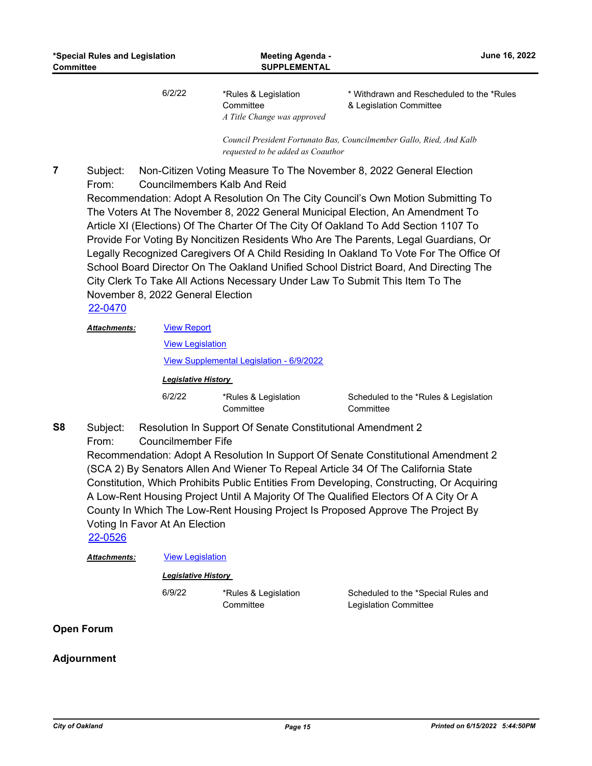6/2/22 \*Rules & Legislation **Committee** *A Title Change was approved*  \* Withdrawn and Rescheduled to the \*Rules & Legislation Committee

*Council President Fortunato Bas, Councilmember Gallo, Ried, And Kalb requested to be added as Coauthor*

Subject: Non-Citizen Voting Measure To The November 8, 2022 General Election From: Councilmembers Kalb And Reid Recommendation: Adopt A Resolution On The City Council's Own Motion Submitting To The Voters At The November 8, 2022 General Municipal Election, An Amendment To Article XI (Elections) Of The Charter Of The City Of Oakland To Add Section 1107 To Provide For Voting By Noncitizen Residents Who Are The Parents, Legal Guardians, Or Legally Recognized Caregivers Of A Child Residing In Oakland To Vote For The Office Of School Board Director On The Oakland Unified School District Board, And Directing The City Clerk To Take All Actions Necessary Under Law To Submit This Item To The November 8, 2022 General Election **7**

[22-0470](http://oakland.legistar.com/gateway.aspx?m=l&id=/matter.aspx?key=33391)

| <b>Attachments:</b> | <b>View Report</b>                                                     |  |  |
|---------------------|------------------------------------------------------------------------|--|--|
|                     | <b>View Legislation</b>                                                |  |  |
|                     | View Supplemental Legislation - 6/9/2022<br><b>Legislative History</b> |  |  |
|                     |                                                                        |  |  |
| $\sim$              |                                                                        |  |  |

Subject: Resolution In Support Of Senate Constitutional Amendment 2 From: Councilmember Fife **S8**

Recommendation: Adopt A Resolution In Support Of Senate Constitutional Amendment 2 (SCA 2) By Senators Allen And Wiener To Repeal Article 34 Of The California State Constitution, Which Prohibits Public Entities From Developing, Constructing, Or Acquiring A Low-Rent Housing Project Until A Majority Of The Qualified Electors Of A City Or A County In Which The Low-Rent Housing Project Is Proposed Approve The Project By Voting In Favor At An Election

[22-0526](http://oakland.legistar.com/gateway.aspx?m=l&id=/matter.aspx?key=33446)

*Attachments:* [View Legislation](http://oakland.legistar.com/gateway.aspx?M=F&ID=8e9075bf-9401-42ea-af82-a3c8ee4ae7a6.pdf)

#### *Legislative History*

6/9/22 \*Rules & Legislation **Committee** 

Scheduled to the \*Special Rules and Legislation Committee

**Open Forum**

### **Adjournment**